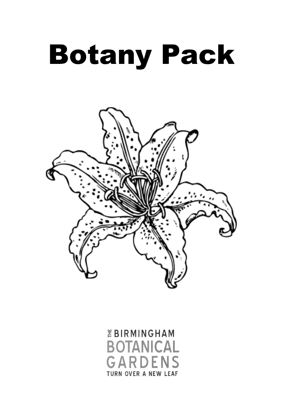# Botany Pack



*EBIRMINGHAM* **BOTANICAL GARDENS TURN OVER A NEW LEAF**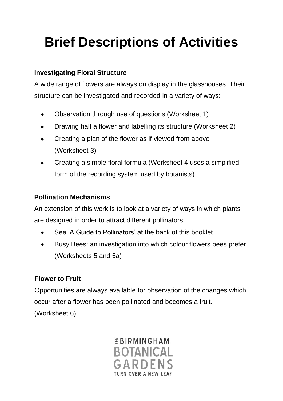# **Brief Descriptions of Activities**

### **Investigating Floral Structure**

A wide range of flowers are always on display in the glasshouses. Their structure can be investigated and recorded in a variety of ways:

- Observation through use of questions (Worksheet 1)  $\bullet$
- Drawing half a flower and labelling its structure (Worksheet 2)  $\bullet$
- Creating a plan of the flower as if viewed from above  $\bullet$ (Worksheet 3)
- Creating a simple floral formula (Worksheet 4 uses a simplified form of the recording system used by botanists)

### **Pollination Mechanisms**

An extension of this work is to look at a variety of ways in which plants are designed in order to attract different pollinators

- See 'A Guide to Pollinators' at the back of this booklet.
- Busy Bees: an investigation into which colour flowers bees prefer  $\bullet$ (Worksheets 5 and 5a)

### **Flower to Fruit**

Opportunities are always available for observation of the changes which occur after a flower has been pollinated and becomes a fruit.

(Worksheet 6)

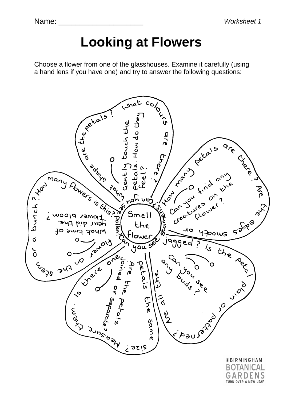Name:

*Worksheet 1*

# **Looking at Flowers**

Choose a flower from one of the glasshouses. Examine it carefully (using a hand lens if you have one) and try to answer the following questions:



TURN OVER A NEW LEAF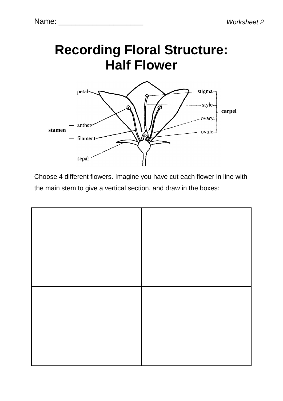

Choose 4 different flowers. Imagine you have cut each flower in line with the main stem to give a vertical section, and draw in the boxes: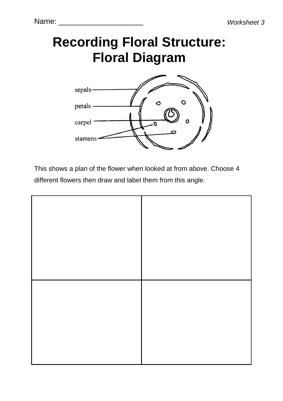# **Recording Floral Structure: Floral Diagram**



This shows a plan of the flower when looked at from above. Choose 4 different flowers then draw and label them from this angle.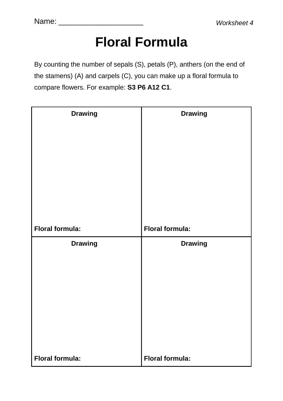# **Floral Formula**

By counting the number of sepals (S), petals (P), anthers (on the end of the stamens) (A) and carpels (C), you can make up a floral formula to compare flowers. For example: **S3 P6 A12 C1**.

| <b>Drawing</b>         | <b>Drawing</b>         |
|------------------------|------------------------|
|                        |                        |
|                        |                        |
|                        |                        |
| <b>Floral formula:</b> | <b>Floral formula:</b> |
| <b>Drawing</b>         | <b>Drawing</b>         |
|                        |                        |
|                        |                        |
|                        |                        |
|                        |                        |
| <b>Floral formula:</b> | <b>Floral formula:</b> |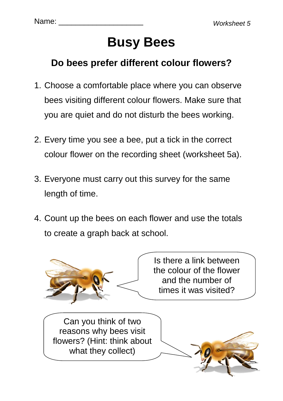# **Busy Bees**

### **Do bees prefer different colour flowers?**

- 1. Choose a comfortable place where you can observe bees visiting different colour flowers. Make sure that you are quiet and do not disturb the bees working.
- 2. Every time you see a bee, put a tick in the correct colour flower on the recording sheet (worksheet 5a).
- 3. Everyone must carry out this survey for the same length of time.
- 4. Count up the bees on each flower and use the totals to create a graph back at school.



Is there a link between the colour of the flower and the number of times it was visited?

Can you think of two reasons why bees visit flowers? (Hint: think about what they collect)

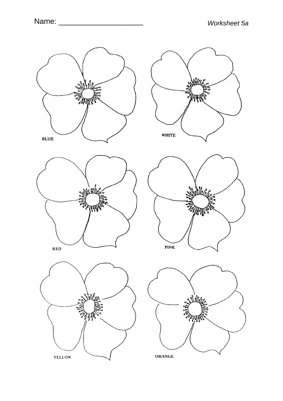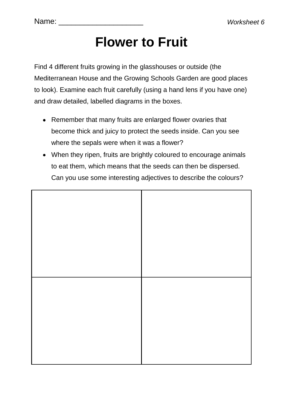## **Flower to Fruit**

Find 4 different fruits growing in the glasshouses or outside (the Mediterranean House and the Growing Schools Garden are good places to look). Examine each fruit carefully (using a hand lens if you have one) and draw detailed, labelled diagrams in the boxes.

- Remember that many fruits are enlarged flower ovaries that become thick and juicy to protect the seeds inside. Can you see where the sepals were when it was a flower?
- When they ripen, fruits are brightly coloured to encourage animals to eat them, which means that the seeds can then be dispersed. Can you use some interesting adjectives to describe the colours?